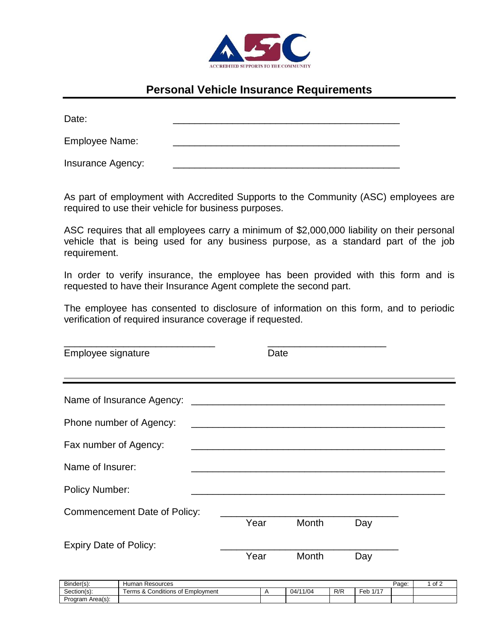

## **Personal Vehicle Insurance Requirements**

| Date:             |  |
|-------------------|--|
| Employee Name:    |  |
| Insurance Agency: |  |

As part of employment with Accredited Supports to the Community (ASC) employees are required to use their vehicle for business purposes.

ASC requires that all employees carry a minimum of \$2,000,000 liability on their personal vehicle that is being used for any business purpose, as a standard part of the job requirement.

In order to verify insurance, the employee has been provided with this form and is requested to have their Insurance Agent complete the second part.

The employee has consented to disclosure of information on this form, and to periodic verification of required insurance coverage if requested.

| Employee signature                  | Date |       |     |  |  |  |
|-------------------------------------|------|-------|-----|--|--|--|
|                                     |      |       |     |  |  |  |
| Phone number of Agency:             |      |       |     |  |  |  |
| Fax number of Agency:               |      |       |     |  |  |  |
| Name of Insurer:                    |      |       |     |  |  |  |
| <b>Policy Number:</b>               |      |       |     |  |  |  |
| <b>Commencement Date of Policy:</b> |      |       |     |  |  |  |
|                                     | Year | Month | Day |  |  |  |
| <b>Expiry Date of Policy:</b>       | Year | Month | Day |  |  |  |

| Binder(s):       | ⊦ Resources<br>Human                                          |  |          |     |                                            | Page: | of 2 |
|------------------|---------------------------------------------------------------|--|----------|-----|--------------------------------------------|-------|------|
| Section(s):      | $-$<br>Conditions of<br>Employment<br>'erms<br>$\sim$<br>. ок |  | 04/11/04 | R/R | $\overline{\phantom{0}}$<br>$.14 -$<br>Feb |       |      |
| Program Area(s): |                                                               |  |          |     |                                            |       |      |